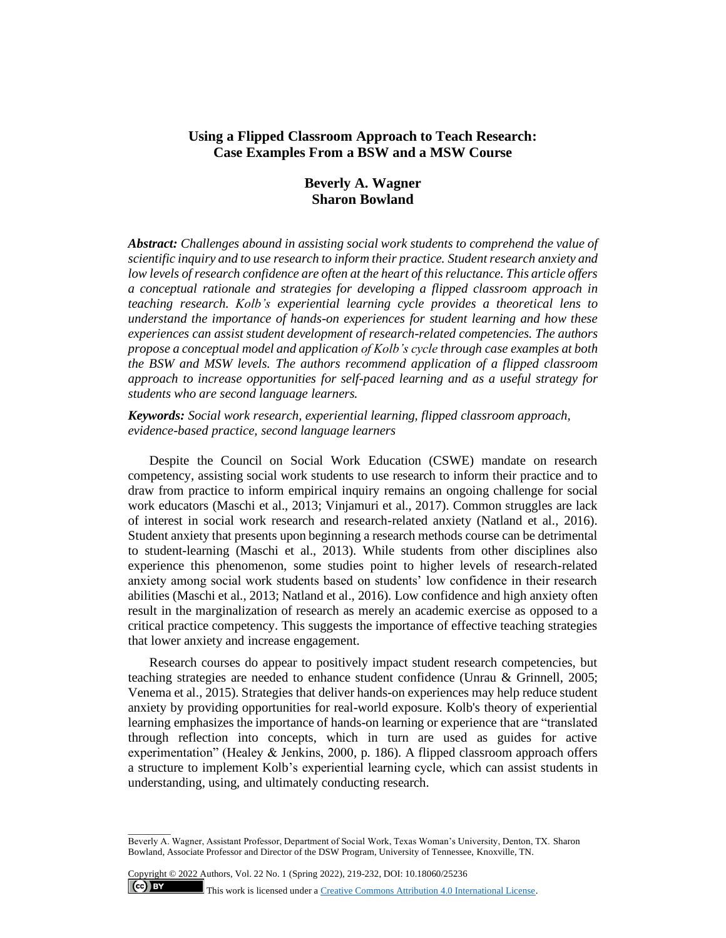## **Using a Flipped Classroom Approach to Teach Research: Case Examples From a BSW and a MSW Course**

# **Beverly A. Wagner Sharon Bowland**

*Abstract: Challenges abound in assisting social work students to comprehend the value of scientific inquiry and to use research to inform their practice. Student research anxiety and low levels of research confidence are often at the heart of this reluctance. This article offers a conceptual rationale and strategies for developing a flipped classroom approach in teaching research. Kolb's experiential learning cycle provides a theoretical lens to understand the importance of hands-on experiences for student learning and how these experiences can assist student development of research-related competencies. The authors propose a conceptual model and application of Kolb's cycle through case examples at both the BSW and MSW levels. The authors recommend application of a flipped classroom approach to increase opportunities for self-paced learning and as a useful strategy for students who are second language learners.* 

## *Keywords: Social work research, experiential learning, flipped classroom approach, evidence-based practice, second language learners*

Despite the Council on Social Work Education (CSWE) mandate on research competency, assisting social work students to use research to inform their practice and to draw from practice to inform empirical inquiry remains an ongoing challenge for social work educators (Maschi et al., 2013; Vinjamuri et al., 2017). Common struggles are lack of interest in social work research and research-related anxiety (Natland et al., 2016). Student anxiety that presents upon beginning a research methods course can be detrimental to student-learning (Maschi et al., 2013). While students from other disciplines also experience this phenomenon, some studies point to higher levels of research-related anxiety among social work students based on students' low confidence in their research abilities (Maschi et al., 2013; Natland et al., 2016). Low confidence and high anxiety often result in the marginalization of research as merely an academic exercise as opposed to a critical practice competency. This suggests the importance of effective teaching strategies that lower anxiety and increase engagement.

Research courses do appear to positively impact student research competencies, but teaching strategies are needed to enhance student confidence (Unrau & Grinnell, 2005; Venema et al., 2015). Strategies that deliver hands-on experiences may help reduce student anxiety by providing opportunities for real-world exposure. Kolb's theory of experiential learning emphasizes the importance of hands-on learning or experience that are "translated through reflection into concepts, which in turn are used as guides for active experimentation" (Healey & Jenkins, 2000, p. 186). A flipped classroom approach offers a structure to implement Kolb's experiential learning cycle, which can assist students in understanding, using, and ultimately conducting research.

 $\overline{\phantom{a}}$  . The contract of  $\overline{\phantom{a}}$ 

Beverly A. Wagner, Assistant Professor, Department of Social Work, Texas Woman's University, Denton, TX. Sharon Bowland, Associate Professor and Director of the DSW Program, University of Tennessee, Knoxville, TN.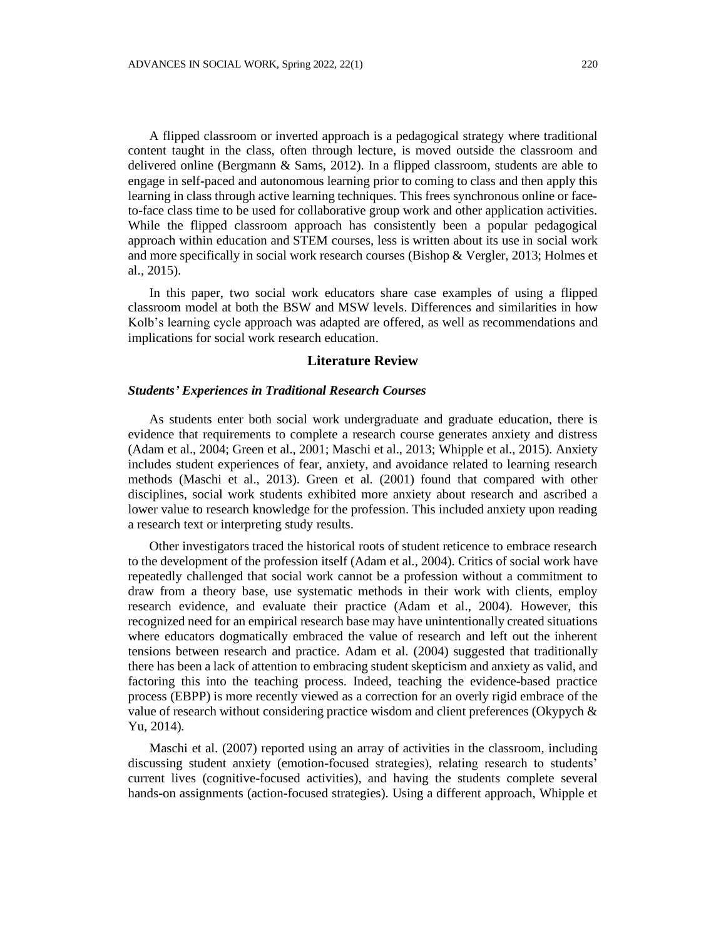A flipped classroom or inverted approach is a pedagogical strategy where traditional content taught in the class, often through lecture, is moved outside the classroom and delivered online (Bergmann  $\&$  Sams, 2012). In a flipped classroom, students are able to engage in self-paced and autonomous learning prior to coming to class and then apply this learning in class through active learning techniques. This frees synchronous online or faceto-face class time to be used for collaborative group work and other application activities. While the flipped classroom approach has consistently been a popular pedagogical approach within education and STEM courses, less is written about its use in social work and more specifically in social work research courses (Bishop & Vergler, 2013; Holmes et al., 2015).

In this paper, two social work educators share case examples of using a flipped classroom model at both the BSW and MSW levels. Differences and similarities in how Kolb's learning cycle approach was adapted are offered, as well as recommendations and implications for social work research education.

### **Literature Review**

### *Students' Experiences in Traditional Research Courses*

As students enter both social work undergraduate and graduate education, there is evidence that requirements to complete a research course generates anxiety and distress (Adam et al., 2004; Green et al., 2001; Maschi et al., 2013; Whipple et al., 2015). Anxiety includes student experiences of fear, anxiety, and avoidance related to learning research methods (Maschi et al., 2013). Green et al. (2001) found that compared with other disciplines, social work students exhibited more anxiety about research and ascribed a lower value to research knowledge for the profession. This included anxiety upon reading a research text or interpreting study results.

Other investigators traced the historical roots of student reticence to embrace research to the development of the profession itself (Adam et al., 2004). Critics of social work have repeatedly challenged that social work cannot be a profession without a commitment to draw from a theory base, use systematic methods in their work with clients, employ research evidence, and evaluate their practice (Adam et al., 2004). However, this recognized need for an empirical research base may have unintentionally created situations where educators dogmatically embraced the value of research and left out the inherent tensions between research and practice. Adam et al. (2004) suggested that traditionally there has been a lack of attention to embracing student skepticism and anxiety as valid, and factoring this into the teaching process. Indeed, teaching the evidence-based practice process (EBPP) is more recently viewed as a correction for an overly rigid embrace of the value of research without considering practice wisdom and client preferences (Okypych & Yu, 2014).

Maschi et al. (2007) reported using an array of activities in the classroom, including discussing student anxiety (emotion-focused strategies), relating research to students' current lives (cognitive-focused activities), and having the students complete several hands-on assignments (action-focused strategies). Using a different approach, Whipple et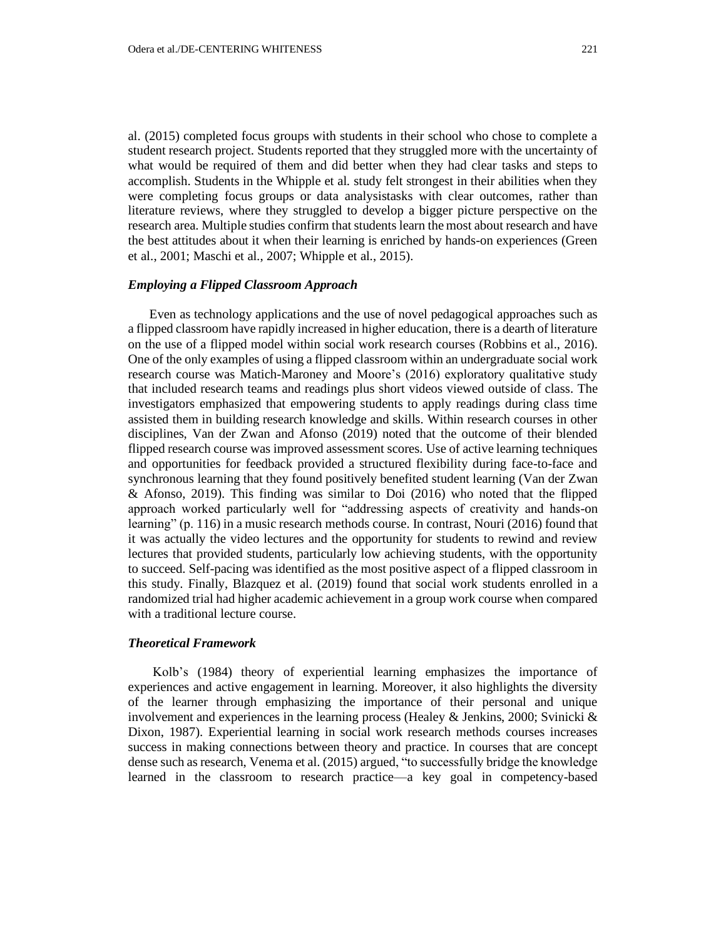al. (2015) completed focus groups with students in their school who chose to complete a student research project. Students reported that they struggled more with the uncertainty of what would be required of them and did better when they had clear tasks and steps to accomplish. Students in the Whipple et al. study felt strongest in their abilities when they were completing focus groups or data analysistasks with clear outcomes, rather than literature reviews, where they struggled to develop a bigger picture perspective on the research area. Multiple studies confirm that students learn the most about research and have the best attitudes about it when their learning is enriched by hands-on experiences (Green et al., 2001; Maschi et al., 2007; Whipple et al., 2015).

#### *Employing a Flipped Classroom Approach*

Even as technology applications and the use of novel pedagogical approaches such as a flipped classroom have rapidly increased in higher education, there is a dearth of literature on the use of a flipped model within social work research courses (Robbins et al., 2016). One of the only examples of using a flipped classroom within an undergraduate social work research course was Matich-Maroney and Moore's (2016) exploratory qualitative study that included research teams and readings plus short videos viewed outside of class. The investigators emphasized that empowering students to apply readings during class time assisted them in building research knowledge and skills. Within research courses in other disciplines, Van der Zwan and Afonso (2019) noted that the outcome of their blended flipped research course was improved assessment scores. Use of active learning techniques and opportunities for feedback provided a structured flexibility during face-to-face and synchronous learning that they found positively benefited student learning (Van der Zwan & Afonso, 2019). This finding was similar to Doi (2016) who noted that the flipped approach worked particularly well for "addressing aspects of creativity and hands-on learning" (p. 116) in a music research methods course. In contrast, Nouri (2016) found that it was actually the video lectures and the opportunity for students to rewind and review lectures that provided students, particularly low achieving students, with the opportunity to succeed. Self-pacing was identified as the most positive aspect of a flipped classroom in this study. Finally, Blazquez et al. (2019) found that social work students enrolled in a randomized trial had higher academic achievement in a group work course when compared with a traditional lecture course.

### *Theoretical Framework*

Kolb's (1984) theory of experiential learning emphasizes the importance of experiences and active engagement in learning. Moreover, it also highlights the diversity of the learner through emphasizing the importance of their personal and unique involvement and experiences in the learning process (Healey  $\&$  Jenkins, 2000; Svinicki  $\&$ Dixon, 1987). Experiential learning in social work research methods courses increases success in making connections between theory and practice. In courses that are concept dense such as research, Venema et al. (2015) argued, "to successfully bridge the knowledge learned in the classroom to research practice—a key goal in competency-based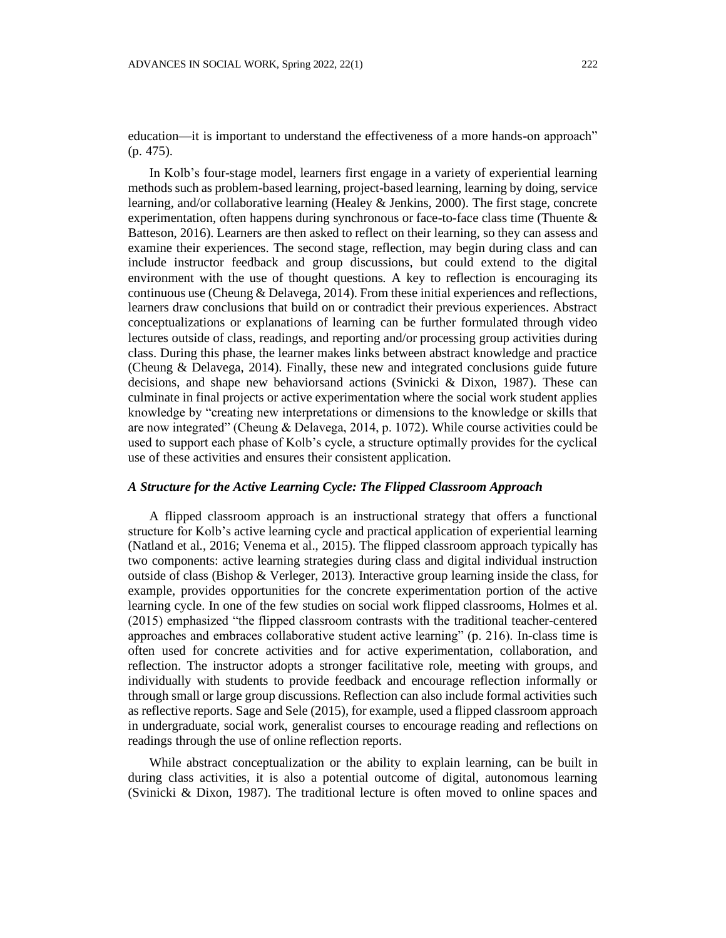education—it is important to understand the effectiveness of a more hands-on approach" (p. 475).

In Kolb's four-stage model, learners first engage in a variety of experiential learning methods such as problem-based learning, project-based learning, learning by doing, service learning, and/or collaborative learning (Healey & Jenkins, 2000). The first stage, concrete experimentation, often happens during synchronous or face-to-face class time (Thuente  $\&$ Batteson, 2016). Learners are then asked to reflect on their learning, so they can assess and examine their experiences. The second stage, reflection, may begin during class and can include instructor feedback and group discussions, but could extend to the digital environment with the use of thought questions. A key to reflection is encouraging its continuous use (Cheung & Delavega, 2014). From these initial experiences and reflections, learners draw conclusions that build on or contradict their previous experiences. Abstract conceptualizations or explanations of learning can be further formulated through video lectures outside of class, readings, and reporting and/or processing group activities during class. During this phase, the learner makes links between abstract knowledge and practice (Cheung & Delavega, 2014). Finally, these new and integrated conclusions guide future decisions, and shape new behaviorsand actions (Svinicki & Dixon, 1987). These can culminate in final projects or active experimentation where the social work student applies knowledge by "creating new interpretations or dimensions to the knowledge or skills that are now integrated" (Cheung & Delavega, 2014, p. 1072). While course activities could be used to support each phase of Kolb's cycle, a structure optimally provides for the cyclical use of these activities and ensures their consistent application.

#### *A Structure for the Active Learning Cycle: The Flipped Classroom Approach*

A flipped classroom approach is an instructional strategy that offers a functional structure for Kolb's active learning cycle and practical application of experiential learning (Natland et al., 2016; Venema et al., 2015). The flipped classroom approach typically has two components: active learning strategies during class and digital individual instruction outside of class (Bishop & Verleger, 2013). Interactive group learning inside the class, for example, provides opportunities for the concrete experimentation portion of the active learning cycle. In one of the few studies on social work flipped classrooms, Holmes et al. (2015) emphasized "the flipped classroom contrasts with the traditional teacher-centered approaches and embraces collaborative student active learning" (p. 216). In-class time is often used for concrete activities and for active experimentation, collaboration, and reflection. The instructor adopts a stronger facilitative role, meeting with groups, and individually with students to provide feedback and encourage reflection informally or through small or large group discussions. Reflection can also include formal activities such as reflective reports. Sage and Sele (2015), for example, used a flipped classroom approach in undergraduate, social work, generalist courses to encourage reading and reflections on readings through the use of online reflection reports.

While abstract conceptualization or the ability to explain learning, can be built in during class activities, it is also a potential outcome of digital, autonomous learning (Svinicki & Dixon, 1987). The traditional lecture is often moved to online spaces and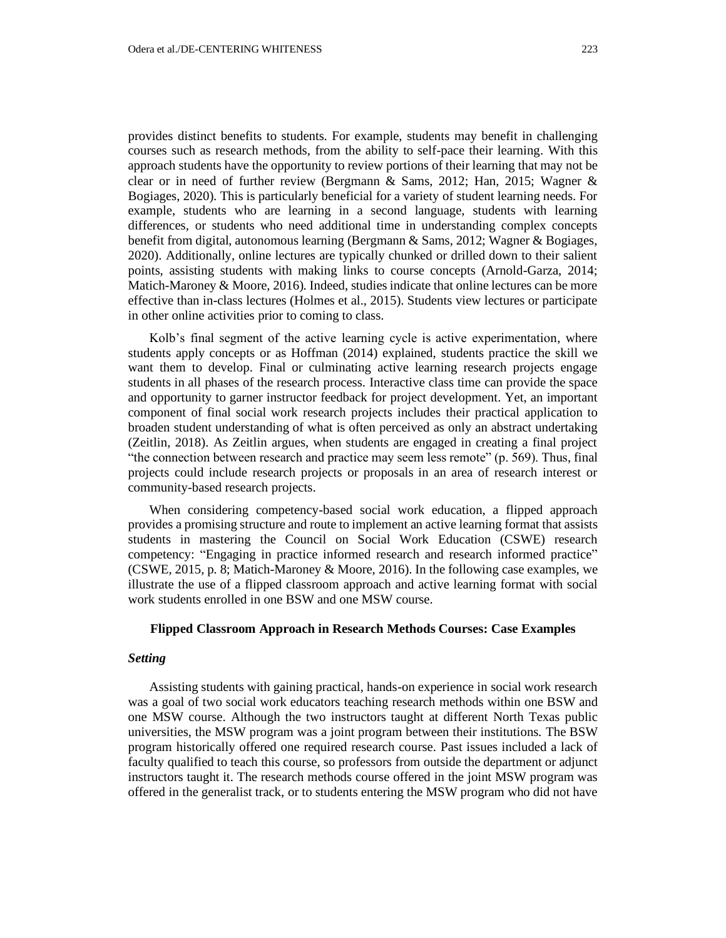provides distinct benefits to students. For example, students may benefit in challenging courses such as research methods, from the ability to self-pace their learning. With this approach students have the opportunity to review portions of their learning that may not be clear or in need of further review (Bergmann & Sams, 2012; Han, 2015; Wagner & Bogiages, 2020). This is particularly beneficial for a variety of student learning needs. For example, students who are learning in a second language, students with learning differences, or students who need additional time in understanding complex concepts benefit from digital, autonomous learning (Bergmann & Sams, 2012; Wagner & Bogiages, 2020). Additionally, online lectures are typically chunked or drilled down to their salient points, assisting students with making links to course concepts (Arnold-Garza, 2014; Matich-Maroney  $\&$  Moore, 2016). Indeed, studies indicate that online lectures can be more effective than in-class lectures (Holmes et al., 2015). Students view lectures or participate in other online activities prior to coming to class.

Kolb's final segment of the active learning cycle is active experimentation, where students apply concepts or as Hoffman (2014) explained, students practice the skill we want them to develop. Final or culminating active learning research projects engage students in all phases of the research process. Interactive class time can provide the space and opportunity to garner instructor feedback for project development. Yet, an important component of final social work research projects includes their practical application to broaden student understanding of what is often perceived as only an abstract undertaking (Zeitlin, 2018). As Zeitlin argues, when students are engaged in creating a final project "the connection between research and practice may seem less remote" (p. 569). Thus, final projects could include research projects or proposals in an area of research interest or community-based research projects.

When considering competency-based social work education, a flipped approach provides a promising structure and route to implement an active learning format that assists students in mastering the Council on Social Work Education (CSWE) research competency: "Engaging in practice informed research and research informed practice" (CSWE, 2015, p. 8; Matich-Maroney & Moore, 2016). In the following case examples, we illustrate the use of a flipped classroom approach and active learning format with social work students enrolled in one BSW and one MSW course.

### **Flipped Classroom Approach in Research Methods Courses: Case Examples**

### *Setting*

Assisting students with gaining practical, hands-on experience in social work research was a goal of two social work educators teaching research methods within one BSW and one MSW course. Although the two instructors taught at different North Texas public universities, the MSW program was a joint program between their institutions. The BSW program historically offered one required research course. Past issues included a lack of faculty qualified to teach this course, so professors from outside the department or adjunct instructors taught it. The research methods course offered in the joint MSW program was offered in the generalist track, or to students entering the MSW program who did not have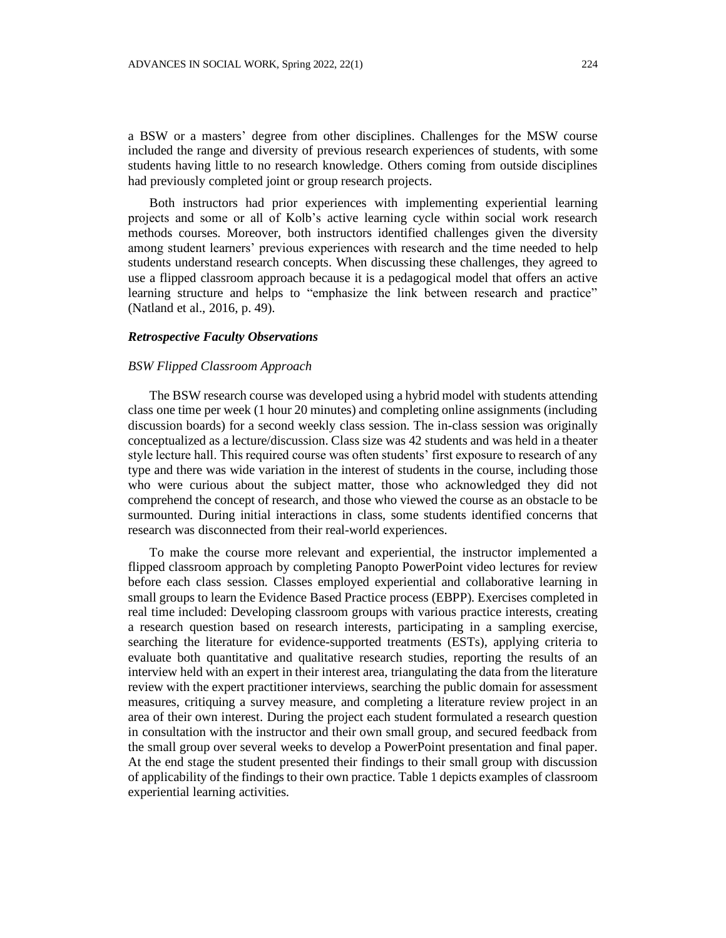a BSW or a masters' degree from other disciplines. Challenges for the MSW course included the range and diversity of previous research experiences of students, with some students having little to no research knowledge. Others coming from outside disciplines had previously completed joint or group research projects.

Both instructors had prior experiences with implementing experiential learning projects and some or all of Kolb's active learning cycle within social work research methods courses. Moreover, both instructors identified challenges given the diversity among student learners' previous experiences with research and the time needed to help students understand research concepts. When discussing these challenges, they agreed to use a flipped classroom approach because it is a pedagogical model that offers an active learning structure and helps to "emphasize the link between research and practice" (Natland et al., 2016, p. 49).

#### *Retrospective Faculty Observations*

#### *BSW Flipped Classroom Approach*

The BSW research course was developed using a hybrid model with students attending class one time per week (1 hour 20 minutes) and completing online assignments (including discussion boards) for a second weekly class session. The in-class session was originally conceptualized as a lecture/discussion. Class size was 42 students and was held in a theater style lecture hall. This required course was often students' first exposure to research of any type and there was wide variation in the interest of students in the course, including those who were curious about the subject matter, those who acknowledged they did not comprehend the concept of research, and those who viewed the course as an obstacle to be surmounted. During initial interactions in class, some students identified concerns that research was disconnected from their real-world experiences.

To make the course more relevant and experiential, the instructor implemented a flipped classroom approach by completing Panopto PowerPoint video lectures for review before each class session. Classes employed experiential and collaborative learning in small groups to learn the Evidence Based Practice process (EBPP). Exercises completed in real time included: Developing classroom groups with various practice interests, creating a research question based on research interests, participating in a sampling exercise, searching the literature for evidence-supported treatments (ESTs), applying criteria to evaluate both quantitative and qualitative research studies, reporting the results of an interview held with an expert in their interest area, triangulating the data from the literature review with the expert practitioner interviews, searching the public domain for assessment measures, critiquing a survey measure, and completing a literature review project in an area of their own interest. During the project each student formulated a research question in consultation with the instructor and their own small group, and secured feedback from the small group over several weeks to develop a PowerPoint presentation and final paper. At the end stage the student presented their findings to their small group with discussion of applicability of the findings to their own practice. Table 1 depicts examples of classroom experiential learning activities.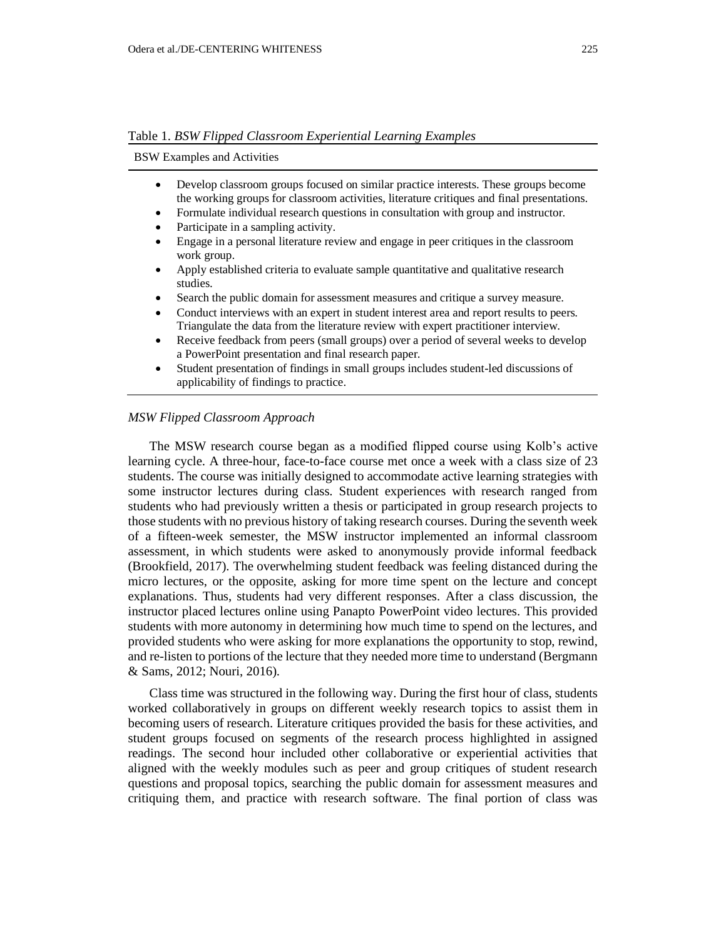BSW Examples and Activities

- Develop classroom groups focused on similar practice interests. These groups become the working groups for classroom activities, literature critiques and final presentations.
- Formulate individual research questions in consultation with group and instructor.
- Participate in a sampling activity.
- Engage in a personal literature review and engage in peer critiques in the classroom work group.
- Apply established criteria to evaluate sample quantitative and qualitative research studies.
- Search the public domain for assessment measures and critique a survey measure.
- Conduct interviews with an expert in student interest area and report results to peers. Triangulate the data from the literature review with expert practitioner interview.
- Receive feedback from peers (small groups) over a period of several weeks to develop a PowerPoint presentation and final research paper.
- Student presentation of findings in small groups includes student-led discussions of applicability of findings to practice.

#### *MSW Flipped Classroom Approach*

The MSW research course began as a modified flipped course using Kolb's active learning cycle. A three-hour, face-to-face course met once a week with a class size of 23 students. The course was initially designed to accommodate active learning strategies with some instructor lectures during class. Student experiences with research ranged from students who had previously written a thesis or participated in group research projects to those students with no previous history of taking research courses. During the seventh week of a fifteen-week semester, the MSW instructor implemented an informal classroom assessment, in which students were asked to anonymously provide informal feedback (Brookfield, 2017). The overwhelming student feedback was feeling distanced during the micro lectures, or the opposite, asking for more time spent on the lecture and concept explanations. Thus, students had very different responses. After a class discussion, the instructor placed lectures online using Panapto PowerPoint video lectures. This provided students with more autonomy in determining how much time to spend on the lectures, and provided students who were asking for more explanations the opportunity to stop, rewind, and re-listen to portions of the lecture that they needed more time to understand (Bergmann & Sams, 2012; Nouri, 2016).

Class time was structured in the following way. During the first hour of class, students worked collaboratively in groups on different weekly research topics to assist them in becoming users of research. Literature critiques provided the basis for these activities, and student groups focused on segments of the research process highlighted in assigned readings. The second hour included other collaborative or experiential activities that aligned with the weekly modules such as peer and group critiques of student research questions and proposal topics, searching the public domain for assessment measures and critiquing them, and practice with research software. The final portion of class was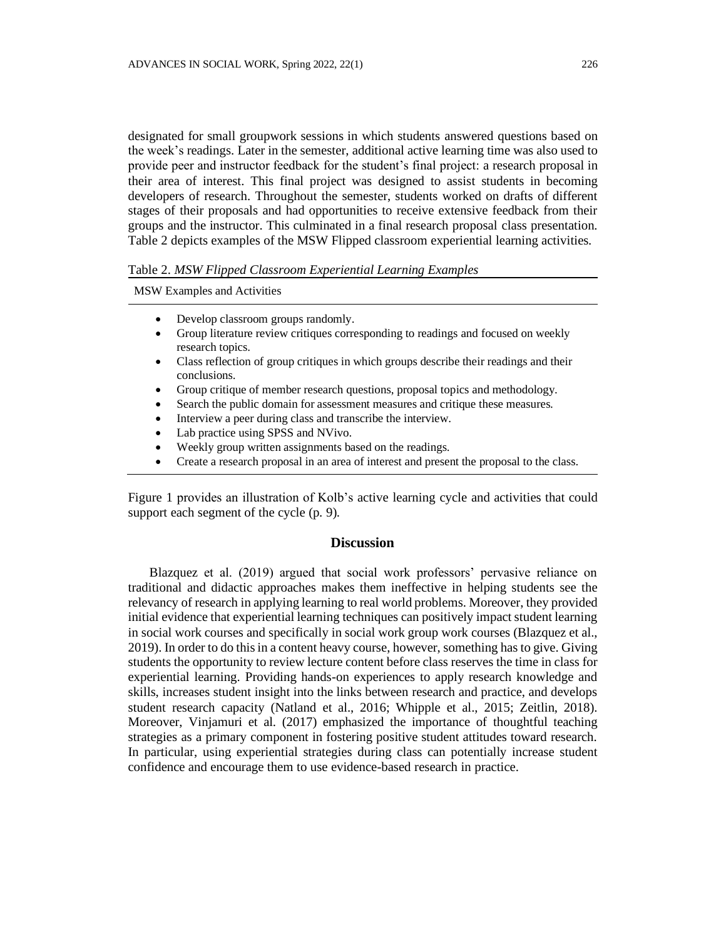designated for small groupwork sessions in which students answered questions based on the week's readings. Later in the semester, additional active learning time was also used to provide peer and instructor feedback for the student's final project: a research proposal in their area of interest. This final project was designed to assist students in becoming developers of research. Throughout the semester, students worked on drafts of different stages of their proposals and had opportunities to receive extensive feedback from their groups and the instructor. This culminated in a final research proposal class presentation. Table 2 depicts examples of the MSW Flipped classroom experiential learning activities.

#### Table 2. *MSW Flipped Classroom Experiential Learning Examples*

MSW Examples and Activities

- Develop classroom groups randomly.
- Group literature review critiques corresponding to readings and focused on weekly research topics.
- Class reflection of group critiques in which groups describe their readings and their conclusions.
- Group critique of member research questions, proposal topics and methodology.
- Search the public domain for assessment measures and critique these measures.
- Interview a peer during class and transcribe the interview.
- Lab practice using SPSS and NVivo.
- Weekly group written assignments based on the readings.
- Create a research proposal in an area of interest and present the proposal to the class.

Figure 1 provides an illustration of Kolb's active learning cycle and activities that could support each segment of the cycle (p. 9).

### **Discussion**

Blazquez et al. (2019) argued that social work professors' pervasive reliance on traditional and didactic approaches makes them ineffective in helping students see the relevancy of research in applying learning to real world problems. Moreover, they provided initial evidence that experiential learning techniques can positively impact student learning in social work courses and specifically in social work group work courses (Blazquez et al., 2019). In order to do this in a content heavy course, however, something has to give. Giving students the opportunity to review lecture content before class reserves the time in class for experiential learning. Providing hands-on experiences to apply research knowledge and skills, increases student insight into the links between research and practice, and develops student research capacity (Natland et al., 2016; Whipple et al., 2015; Zeitlin, 2018). Moreover, Vinjamuri et al. (2017) emphasized the importance of thoughtful teaching strategies as a primary component in fostering positive student attitudes toward research. In particular, using experiential strategies during class can potentially increase student confidence and encourage them to use evidence-based research in practice.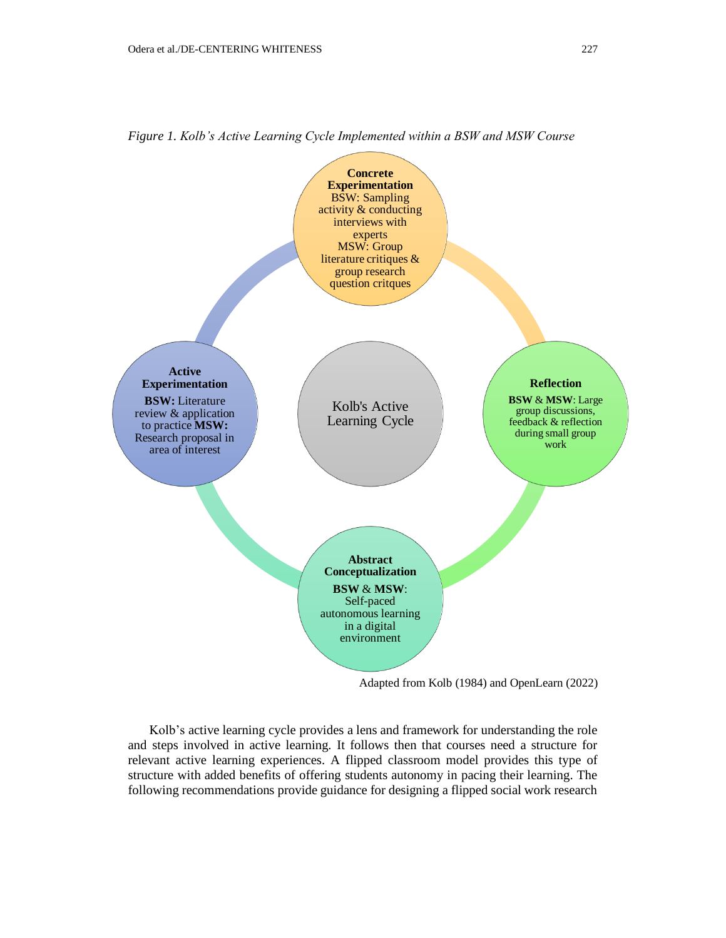

*Figure 1. Kolb's Active Learning Cycle Implemented within a BSW and MSW Course*

Adapted from Kolb (1984) and OpenLearn (2022)

Kolb's active learning cycle provides a lens and framework for understanding the role and steps involved in active learning. It follows then that courses need a structure for relevant active learning experiences. A flipped classroom model provides this type of structure with added benefits of offering students autonomy in pacing their learning. The following recommendations provide guidance for designing a flipped social work research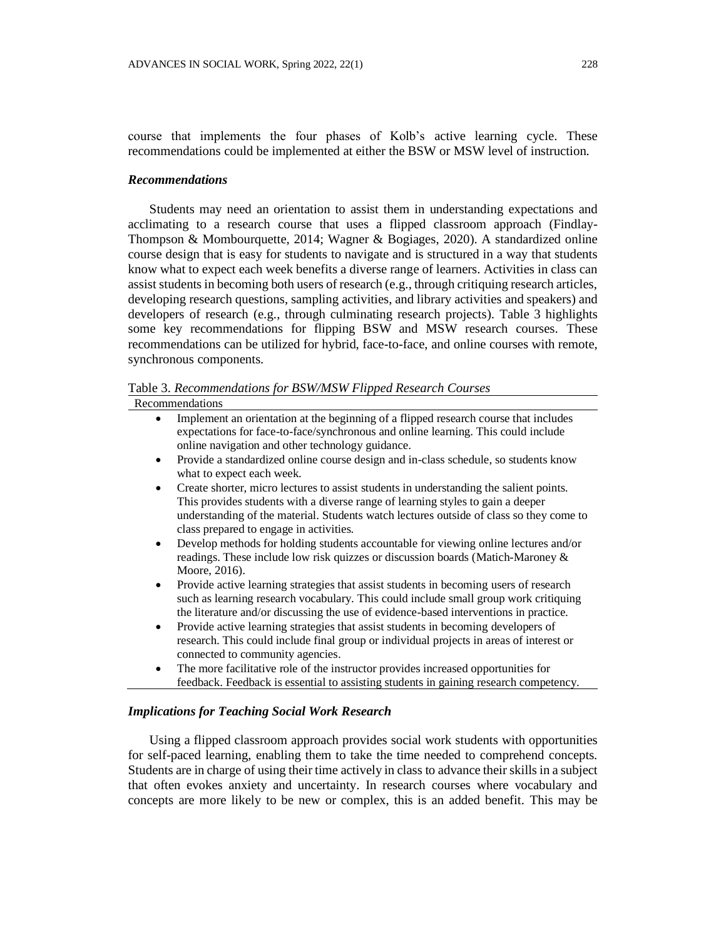course that implements the four phases of Kolb's active learning cycle. These recommendations could be implemented at either the BSW or MSW level of instruction.

#### *Recommendations*

Students may need an orientation to assist them in understanding expectations and acclimating to a research course that uses a flipped classroom approach (Findlay-Thompson & Mombourquette, 2014; Wagner & Bogiages, 2020). A standardized online course design that is easy for students to navigate and is structured in a way that students know what to expect each week benefits a diverse range of learners. Activities in class can assist students in becoming both users of research (e.g., through critiquing research articles, developing research questions, sampling activities, and library activities and speakers) and developers of research (e.g., through culminating research projects). Table 3 highlights some key recommendations for flipping BSW and MSW research courses. These recommendations can be utilized for hybrid, face-to-face, and online courses with remote, synchronous components.

Table 3. *Recommendations for BSW/MSW Flipped Research Courses*

Recommendations

- Implement an orientation at the beginning of a flipped research course that includes expectations for face-to-face/synchronous and online learning. This could include online navigation and other technology guidance.
- Provide a standardized online course design and in-class schedule, so students know what to expect each week.
- Create shorter, micro lectures to assist students in understanding the salient points. This provides students with a diverse range of learning styles to gain a deeper understanding of the material. Students watch lectures outside of class so they come to class prepared to engage in activities.
- Develop methods for holding students accountable for viewing online lectures and/or readings. These include low risk quizzes or discussion boards (Matich-Maroney & Moore, 2016).
- Provide active learning strategies that assist students in becoming users of research such as learning research vocabulary. This could include small group work critiquing the literature and/or discussing the use of evidence-based interventions in practice.
- Provide active learning strategies that assist students in becoming developers of research. This could include final group or individual projects in areas of interest or connected to community agencies.
- The more facilitative role of the instructor provides increased opportunities for feedback. Feedback is essential to assisting students in gaining research competency.

#### *Implications for Teaching Social Work Research*

Using a flipped classroom approach provides social work students with opportunities for self-paced learning, enabling them to take the time needed to comprehend concepts. Students are in charge of using their time actively in class to advance their skills in a subject that often evokes anxiety and uncertainty. In research courses where vocabulary and concepts are more likely to be new or complex, this is an added benefit. This may be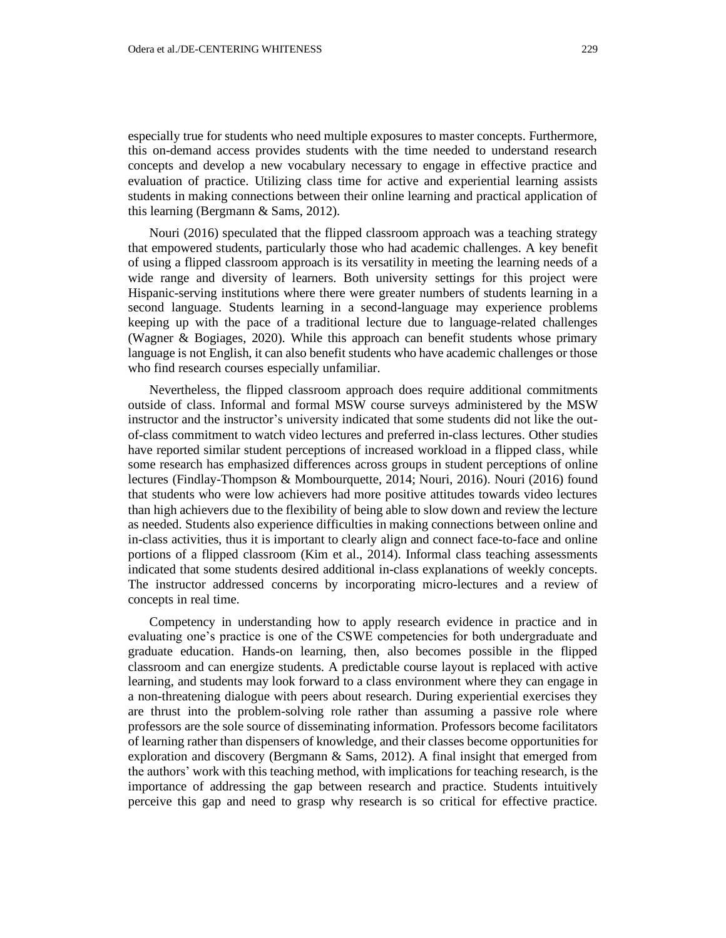especially true for students who need multiple exposures to master concepts. Furthermore, this on-demand access provides students with the time needed to understand research concepts and develop a new vocabulary necessary to engage in effective practice and evaluation of practice. Utilizing class time for active and experiential learning assists students in making connections between their online learning and practical application of this learning (Bergmann & Sams, 2012).

Nouri (2016) speculated that the flipped classroom approach was a teaching strategy that empowered students, particularly those who had academic challenges. A key benefit of using a flipped classroom approach is its versatility in meeting the learning needs of a wide range and diversity of learners. Both university settings for this project were Hispanic-serving institutions where there were greater numbers of students learning in a second language. Students learning in a second-language may experience problems keeping up with the pace of a traditional lecture due to language-related challenges (Wagner & Bogiages, 2020). While this approach can benefit students whose primary language is not English, it can also benefit students who have academic challenges or those who find research courses especially unfamiliar.

Nevertheless, the flipped classroom approach does require additional commitments outside of class. Informal and formal MSW course surveys administered by the MSW instructor and the instructor's university indicated that some students did not like the outof-class commitment to watch video lectures and preferred in-class lectures. Other studies have reported similar student perceptions of increased workload in a flipped class, while some research has emphasized differences across groups in student perceptions of online lectures (Findlay-Thompson & Mombourquette, 2014; Nouri, 2016). Nouri (2016) found that students who were low achievers had more positive attitudes towards video lectures than high achievers due to the flexibility of being able to slow down and review the lecture as needed. Students also experience difficulties in making connections between online and in-class activities, thus it is important to clearly align and connect face-to-face and online portions of a flipped classroom (Kim et al., 2014). Informal class teaching assessments indicated that some students desired additional in-class explanations of weekly concepts. The instructor addressed concerns by incorporating micro-lectures and a review of concepts in real time.

Competency in understanding how to apply research evidence in practice and in evaluating one's practice is one of the CSWE competencies for both undergraduate and graduate education. Hands-on learning, then, also becomes possible in the flipped classroom and can energize students. A predictable course layout is replaced with active learning, and students may look forward to a class environment where they can engage in a non-threatening dialogue with peers about research. During experiential exercises they are thrust into the problem-solving role rather than assuming a passive role where professors are the sole source of disseminating information. Professors become facilitators of learning rather than dispensers of knowledge, and their classes become opportunities for exploration and discovery (Bergmann & Sams, 2012). A final insight that emerged from the authors' work with this teaching method, with implications for teaching research, is the importance of addressing the gap between research and practice. Students intuitively perceive this gap and need to grasp why research is so critical for effective practice.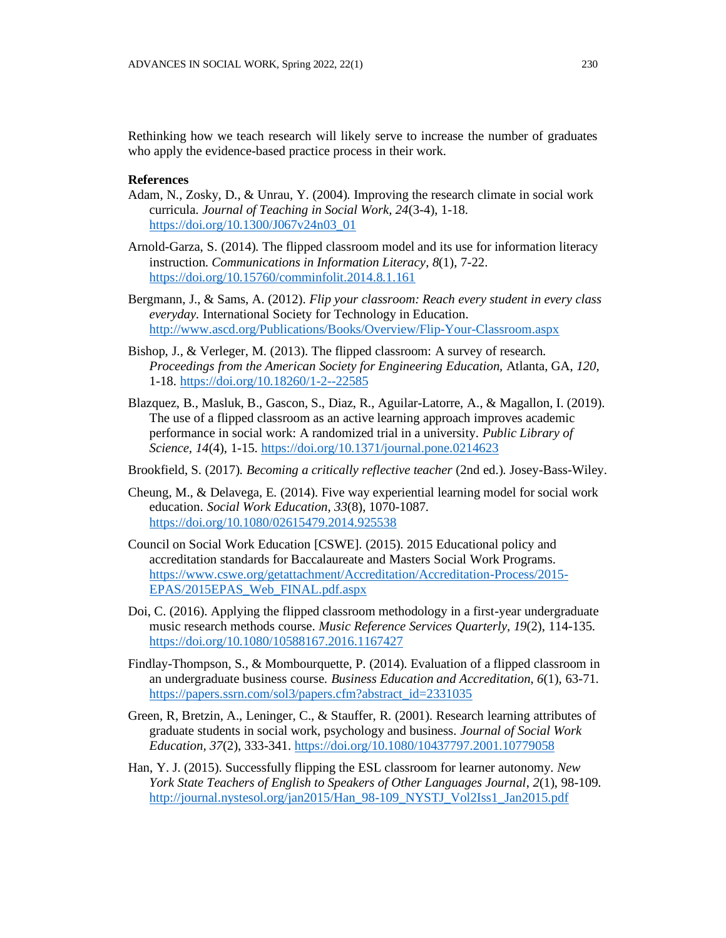Rethinking how we teach research will likely serve to increase the number of graduates who apply the evidence-based practice process in their work.

#### **References**

- Adam, N., Zosky, D., & Unrau, Y. (2004). Improving the research climate in social work curricula. *Journal of Teaching in Social Work, 24*(3-4), 1-18. [https://doi.org/10.1300/J067v24n03\\_01](https://doi.org/10.1300/J067v24n03_01)
- Arnold-Garza, S. (2014). The flipped classroom model and its use for information literacy instruction. *Communications in Information Literacy, 8*(1), 7-22. <https://doi.org/10.15760/comminfolit.2014.8.1.161>
- Bergmann, J., & Sams, A. (2012). *Flip your classroom: Reach every student in every class everyday.* International Society for Technology in Education. <http://www.ascd.org/Publications/Books/Overview/Flip-Your-Classroom.aspx>
- Bishop, J., & Verleger, M. (2013). The flipped classroom: A survey of research*. Proceedings from the American Society for Engineering Education,* Atlanta, GA, *120*, 1-18.<https://doi.org/10.18260/1-2--22585>
- Blazquez, B., Masluk, B., Gascon, S., Diaz, R., Aguilar-Latorre, A., & Magallon, I. (2019). The use of a flipped classroom as an active learning approach improves academic performance in social work: A randomized trial in a university. *Public Library of Science, 14*(4), 1-15.<https://doi.org/10.1371/journal.pone.0214623>
- Brookfield, S. (2017). *Becoming a critically reflective teacher* (2nd ed.)*.* Josey-Bass-Wiley.
- Cheung, M., & Delavega, E. (2014). Five way experiential learning model for social work education. *Social Work Education, 33*(8), 1070-1087. <https://doi.org/10.1080/02615479.2014.925538>
- Council on Social Work Education [CSWE]. (2015). 2015 Educational policy and accreditation standards for Baccalaureate and Masters Social Work Programs. [https://www.cswe.org/getattachment/Accreditation/Accreditation-Process/2015-](https://www.cswe.org/getattachment/Accreditation/Accreditation-Process/2015-EPAS/2015EPAS_Web_FINAL.pdf.aspx) [EPAS/2015EPAS\\_Web\\_FINAL.pdf.aspx](https://www.cswe.org/getattachment/Accreditation/Accreditation-Process/2015-EPAS/2015EPAS_Web_FINAL.pdf.aspx)
- Doi, C. (2016). Applying the flipped classroom methodology in a first-year undergraduate music research methods course. *Music Reference Services Quarterly, 19*(2), 114-135. <https://doi.org/10.1080/10588167.2016.1167427>
- Findlay-Thompson, S., & Mombourquette, P. (2014). Evaluation of a flipped classroom in an undergraduate business course*. Business Education and Accreditation*, *6*(1), 63-71. [https://papers.ssrn.com/sol3/papers.cfm?abstract\\_id=2331035](https://papers.ssrn.com/sol3/papers.cfm?abstract_id=2331035)
- Green, R, Bretzin, A., Leninger, C., & Stauffer, R. (2001). Research learning attributes of graduate students in social work, psychology and business. *Journal of Social Work Education, 37*(2), 333-341.<https://doi.org/10.1080/10437797.2001.10779058>
- Han, Y. J. (2015). Successfully flipping the ESL classroom for learner autonomy*. New York State Teachers of English to Speakers of Other Languages Journal*, *2*(1), 98-109. [http://journal.nystesol.org/jan2015/Han\\_98-109\\_NYSTJ\\_Vol2Iss1\\_Jan2015.pdf](http://journal.nystesol.org/jan2015/Han_98-109_NYSTJ_Vol2Iss1_Jan2015.pdf)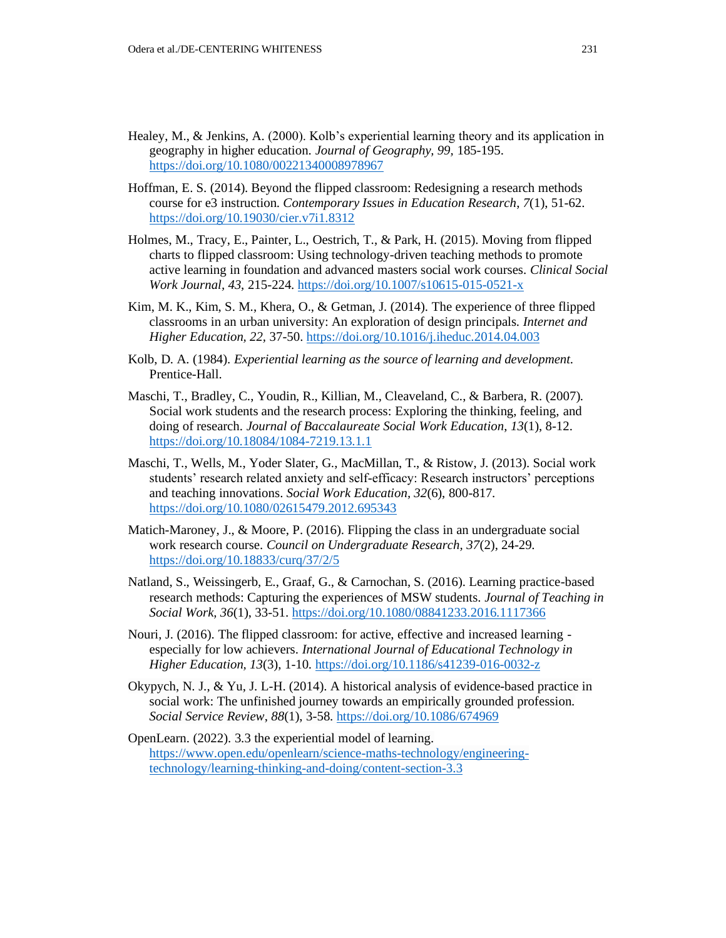- Healey, M., & Jenkins, A. (2000). Kolb's experiential learning theory and its application in geography in higher education. *Journal of Geography, 99,* 185-195. <https://doi.org/10.1080/00221340008978967>
- Hoffman, E. S. (2014). Beyond the flipped classroom: Redesigning a research methods course for e3 instruction. *Contemporary Issues in Education Research*, *7*(1), 51-62. <https://doi.org/10.19030/cier.v7i1.8312>
- Holmes, M., Tracy, E., Painter, L., Oestrich, T., & Park, H. (2015). Moving from flipped charts to flipped classroom: Using technology-driven teaching methods to promote active learning in foundation and advanced masters social work courses. *Clinical Social Work Journal, 43*, 215-224.<https://doi.org/10.1007/s10615-015-0521-x>
- Kim, M. K., Kim, S. M., Khera, O., & Getman, J. (2014). The experience of three flipped classrooms in an urban university: An exploration of design principals. *Internet and Higher Education, 22,* 37-50.<https://doi.org/10.1016/j.iheduc.2014.04.003>
- Kolb, D. A. (1984). *Experiential learning as the source of learning and development.*  Prentice-Hall.
- Maschi, T., Bradley, C., Youdin, R., Killian, M., Cleaveland, C., & Barbera, R. (2007). Social work students and the research process: Exploring the thinking, feeling, and doing of research. *Journal of Baccalaureate Social Work Education*, *13*(1), 8-12. <https://doi.org/10.18084/1084-7219.13.1.1>
- Maschi, T., Wells, M., Yoder Slater, G., MacMillan, T., & Ristow, J. (2013). Social work students' research related anxiety and self-efficacy: Research instructors' perceptions and teaching innovations. *Social Work Education, 32*(6), 800-817. <https://doi.org/10.1080/02615479.2012.695343>
- Matich-Maroney, J., & Moore, P. (2016). Flipping the class in an undergraduate social work research course. *Council on Undergraduate Research, 37*(2), 24-29. <https://doi.org/10.18833/curq/37/2/5>
- Natland, S., Weissingerb, E., Graaf, G., & Carnochan, S. (2016). Learning practice-based research methods: Capturing the experiences of MSW students. *Journal of Teaching in Social Work, 36*(1), 33-51.<https://doi.org/10.1080/08841233.2016.1117366>
- Nouri, J. (2016). The flipped classroom: for active, effective and increased learning especially for low achievers. *International Journal of Educational Technology in Higher Education, 13*(3), 1-10[. https://doi.org/10.1186/s41239-016-0032-z](https://doi.org/10.1186/s41239-016-0032-z)
- Okypych, N. J., & Yu, J. L-H. (2014). A historical analysis of evidence-based practice in social work: The unfinished journey towards an empirically grounded profession. *Social Service Review*, *88*(1), 3-58[. https://doi.org/10.1086/674969](https://doi.org/10.1086/674969)
- OpenLearn. (2022). 3.3 the experiential model of learning. [https://www.open.edu/openlearn/science-maths-technology/engineering](https://www.open.edu/openlearn/science-maths-technology/engineering-technology/learning-thinking-and-doing/content-section-3.3)[technology/learning-thinking-and-doing/content-section-3.3](https://www.open.edu/openlearn/science-maths-technology/engineering-technology/learning-thinking-and-doing/content-section-3.3)